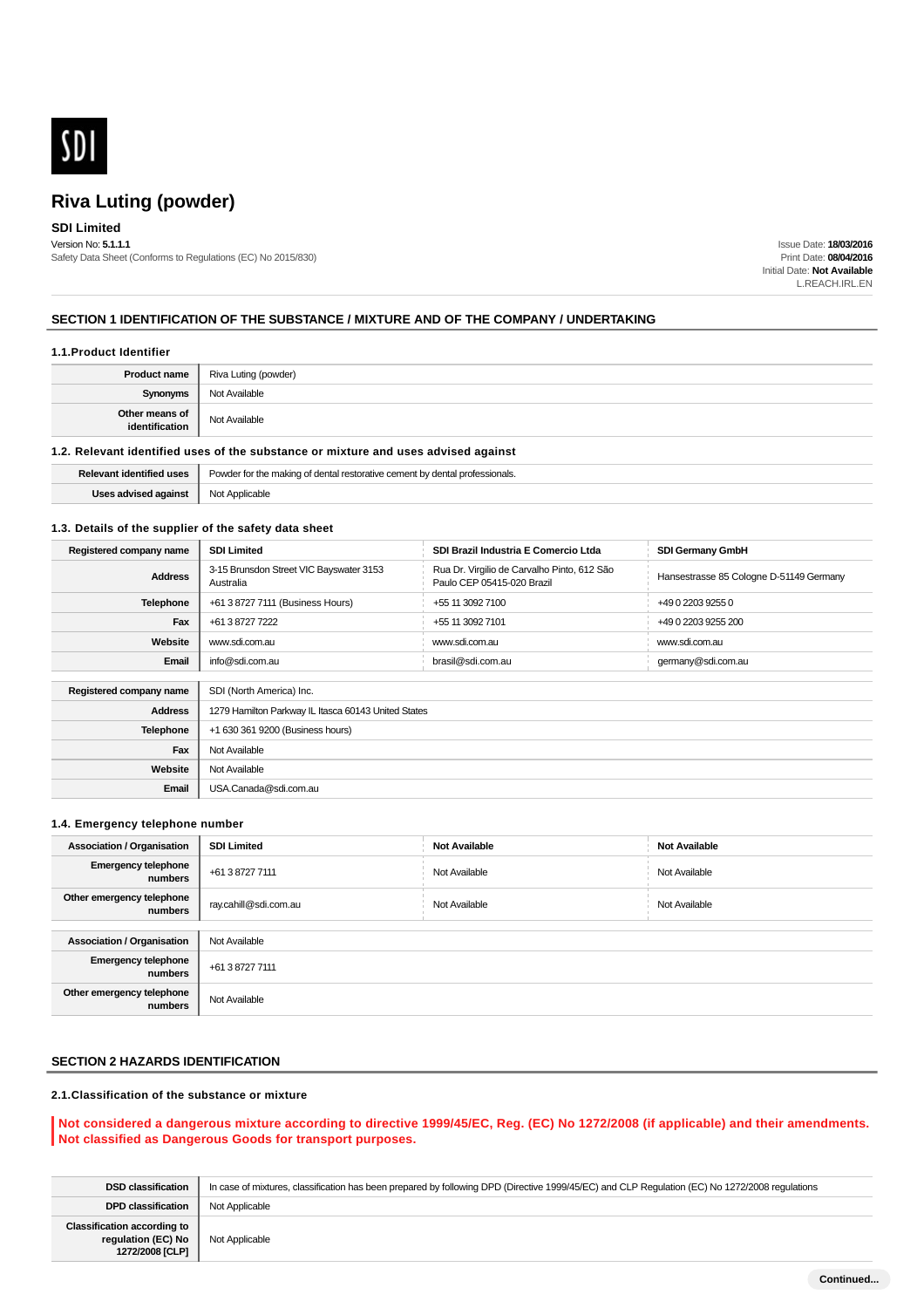

### **SDI Limited**

Version No: **5.1.1.1** Safety Data Sheet (Conforms to Regulations (EC) No 2015/830)

Issue Date: **18/03/2016** Print Date: **08/04/2016** Initial Date: **Not Available** L.REACH.IRL.EN

#### **SECTION 1 IDENTIFICATION OF THE SUBSTANCE / MIXTURE AND OF THE COMPANY / UNDERTAKING**

#### **1.1.Product Identifier**

| <b>Product name</b>              | Riva Luting (powder) |
|----------------------------------|----------------------|
| <b>Synonyms</b>                  | Not Available        |
| Other means of<br>identification | Not Available        |

#### **1.2. Relevant identified uses of the substance or mixture and uses advised against**

| evant identified uses | Powder<br>er the making of dental res<br>professionals |
|-----------------------|--------------------------------------------------------|
| Uses advised against  | Not Applicable                                         |

#### **1.3. Details of the supplier of the safety data sheet**

| Registered company name | <b>SDI Limited</b>                                   | SDI Brazil Industria E Comercio Ltda                                      | <b>SDI Germany GmbH</b>                 |
|-------------------------|------------------------------------------------------|---------------------------------------------------------------------------|-----------------------------------------|
| <b>Address</b>          | 3-15 Brunsdon Street VIC Bayswater 3153<br>Australia | Rua Dr. Virgilio de Carvalho Pinto, 612 São<br>Paulo CEP 05415-020 Brazil | Hansestrasse 85 Cologne D-51149 Germany |
| <b>Telephone</b>        | +61 3 8727 7111 (Business Hours)                     | +55 11 3092 7100                                                          | +49 0 2203 9255 0                       |
| Fax                     | +61 3 8727 7222                                      | +55 11 3092 7101                                                          | +49 0 2203 9255 200                     |
| Website                 | www.sdi.com.au                                       | www.sdi.com.au                                                            | www.sdi.com.au                          |
| Email                   | info@sdi.com.au                                      | brasil@sdi.com.au                                                         | germany@sdi.com.au                      |
|                         |                                                      |                                                                           |                                         |
| Registered company name | SDI (North America) Inc.                             |                                                                           |                                         |
| <b>Address</b>          | 1279 Hamilton Parkway IL Itasca 60143 United States  |                                                                           |                                         |
| Telephone               | +1 630 361 9200 (Business hours)                     |                                                                           |                                         |
| Fax                     | Not Available                                        |                                                                           |                                         |
| Website                 | Not Available                                        |                                                                           |                                         |
| Email                   | USA.Canada@sdi.com.au                                |                                                                           |                                         |

#### **1.4. Emergency telephone number**

| <b>Association / Organisation</b>     | <b>SDI Limited</b>    | <b>Not Available</b> | <b>Not Available</b> |
|---------------------------------------|-----------------------|----------------------|----------------------|
| <b>Emergency telephone</b><br>numbers | +61 3 8727 7111       | Not Available        | Not Available        |
| Other emergency telephone<br>numbers  | ray.cahill@sdi.com.au | Not Available        | Not Available        |
|                                       |                       |                      |                      |
| <b>Association / Organisation</b>     | Not Available         |                      |                      |
| <b>Emergency telephone</b><br>numbers | +61 3 8727 7111       |                      |                      |
| Other emergency telephone<br>numbers  | Not Available         |                      |                      |

### **SECTION 2 HAZARDS IDENTIFICATION**

### **2.1.Classification of the substance or mixture**

#### **Not considered a dangerous mixture according to directive 1999/45/EC, Reg. (EC) No 1272/2008 (if applicable) and their amendments. Not classified as Dangerous Goods for transport purposes.**

| <b>DSD classification</b>                                                   | In case of mixtures, classification has been prepared by following DPD (Directive 1999/45/EC) and CLP Regulation (EC) No 1272/2008 regulations |
|-----------------------------------------------------------------------------|------------------------------------------------------------------------------------------------------------------------------------------------|
| <b>DPD classification</b>                                                   | Not Applicable                                                                                                                                 |
| <b>Classification according to</b><br>regulation (EC) No<br>1272/2008 [CLP] | Not Applicable                                                                                                                                 |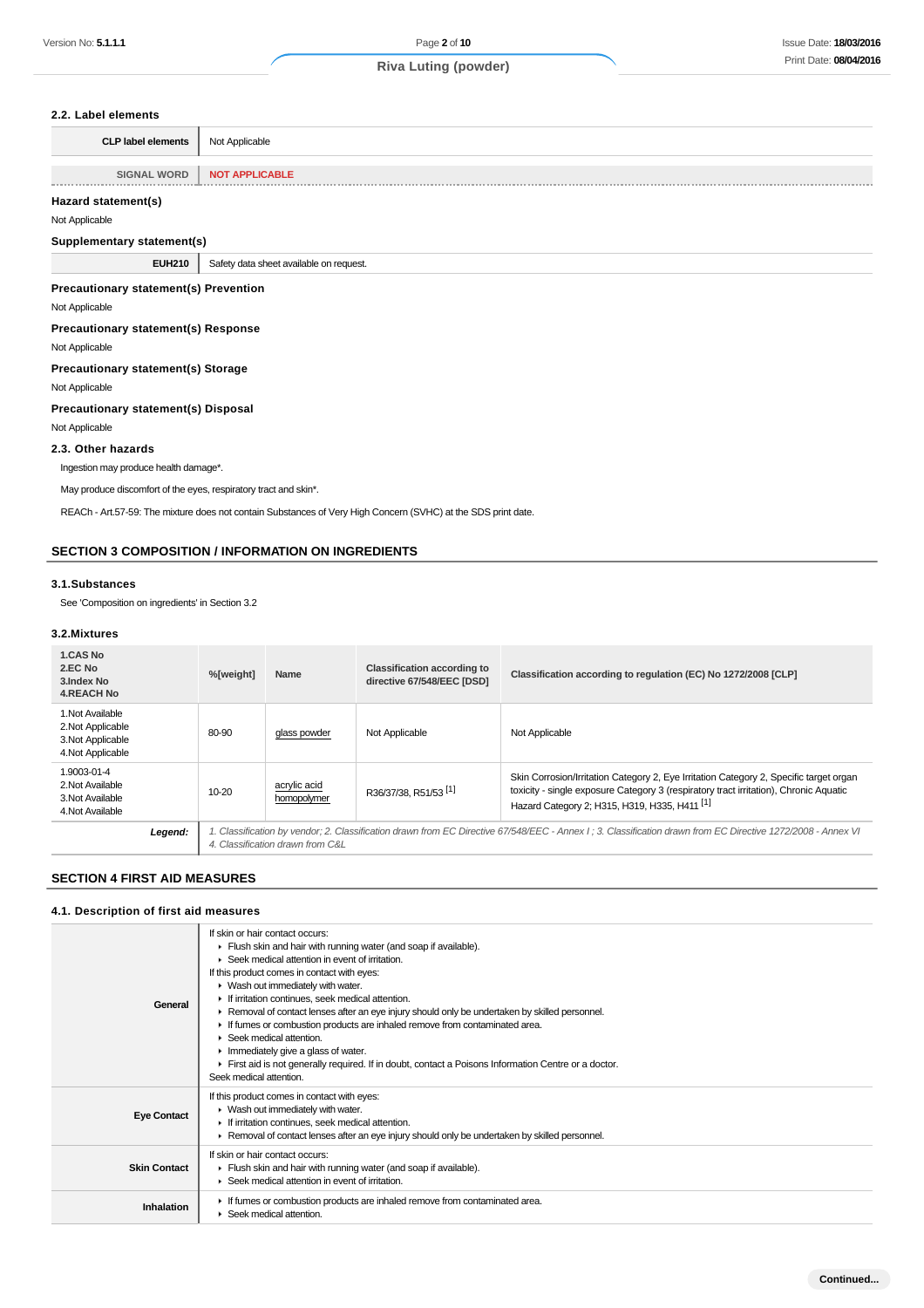#### **2.2. Label elements**

| <b>CLP label elements</b> | Not Applicable        |
|---------------------------|-----------------------|
|                           |                       |
| <b>SIGNAL WORD</b>        | <b>NOT APPLICABLE</b> |

#### **Hazard statement(s)**

Not Applicable

#### **Supplementary statement(s)**

**EUH210** Safety data sheet available on request.

#### **Precautionary statement(s) Prevention**

Not Applicable

**Precautionary statement(s) Response**

#### Not Applicable

**Precautionary statement(s) Storage**

Not Applicable

#### **Precautionary statement(s) Disposal**

Not Applicable

#### **2.3. Other hazards**

Ingestion may produce health damage\*.

May produce discomfort of the eyes, respiratory tract and skin\*.

REACh - Art.57-59: The mixture does not contain Substances of Very High Concern (SVHC) at the SDS print date.

### **SECTION 3 COMPOSITION / INFORMATION ON INGREDIENTS**

#### **3.1.Substances**

See 'Composition on ingredients' in Section 3.2

#### **3.2.Mixtures**

| 1.CAS No<br>2.EC No<br>3. Index No<br><b>4.REACH No</b>                         | %[weight] | Name                             | <b>Classification according to</b><br>directive 67/548/EEC [DSD] | Classification according to regulation (EC) No 1272/2008 [CLP]                                                                                                                                                                              |
|---------------------------------------------------------------------------------|-----------|----------------------------------|------------------------------------------------------------------|---------------------------------------------------------------------------------------------------------------------------------------------------------------------------------------------------------------------------------------------|
| 1. Not Available<br>2. Not Applicable<br>3. Not Applicable<br>4. Not Applicable | 80-90     | glass powder                     | Not Applicable                                                   | Not Applicable                                                                                                                                                                                                                              |
| 1.9003-01-4<br>2. Not Available<br>3. Not Available<br>4. Not Available         | $10 - 20$ | acrylic acid<br>homopolymer      | R36/37/38, R51/53 <sup>[1]</sup>                                 | Skin Corrosion/Irritation Category 2, Eye Irritation Category 2, Specific target organ<br>toxicity - single exposure Category 3 (respiratory tract irritation), Chronic Aquatic<br>Hazard Category 2; H315, H319, H335, H411 <sup>[1]</sup> |
| Legend:                                                                         |           | 4. Classification drawn from C&L |                                                                  | 1. Classification by vendor; 2. Classification drawn from EC Directive 67/548/EEC - Annex I ; 3. Classification drawn from EC Directive 1272/2008 - Annex VI                                                                                |

### **SECTION 4 FIRST AID MEASURES**

### **4.1. Description of first aid measures**

| General             | If skin or hair contact occurs:<br>Flush skin and hair with running water (and soap if available).<br>Seek medical attention in event of irritation.<br>If this product comes in contact with eyes:<br>▶ Wash out immediately with water.<br>If irritation continues, seek medical attention.<br>► Removal of contact lenses after an eye injury should only be undertaken by skilled personnel.<br>If fumes or combustion products are inhaled remove from contaminated area.<br>$\triangleright$ Seek medical attention.<br>Inmediately give a glass of water.<br>First aid is not generally required. If in doubt, contact a Poisons Information Centre or a doctor.<br>Seek medical attention. |
|---------------------|----------------------------------------------------------------------------------------------------------------------------------------------------------------------------------------------------------------------------------------------------------------------------------------------------------------------------------------------------------------------------------------------------------------------------------------------------------------------------------------------------------------------------------------------------------------------------------------------------------------------------------------------------------------------------------------------------|
| <b>Eye Contact</b>  | If this product comes in contact with eyes:<br>• Wash out immediately with water.<br>If irritation continues, seek medical attention.<br>Removal of contact lenses after an eye injury should only be undertaken by skilled personnel.                                                                                                                                                                                                                                                                                                                                                                                                                                                             |
| <b>Skin Contact</b> | If skin or hair contact occurs:<br>• Flush skin and hair with running water (and soap if available).<br>▶ Seek medical attention in event of irritation.                                                                                                                                                                                                                                                                                                                                                                                                                                                                                                                                           |
| Inhalation          | If fumes or combustion products are inhaled remove from contaminated area.<br>▶ Seek medical attention.                                                                                                                                                                                                                                                                                                                                                                                                                                                                                                                                                                                            |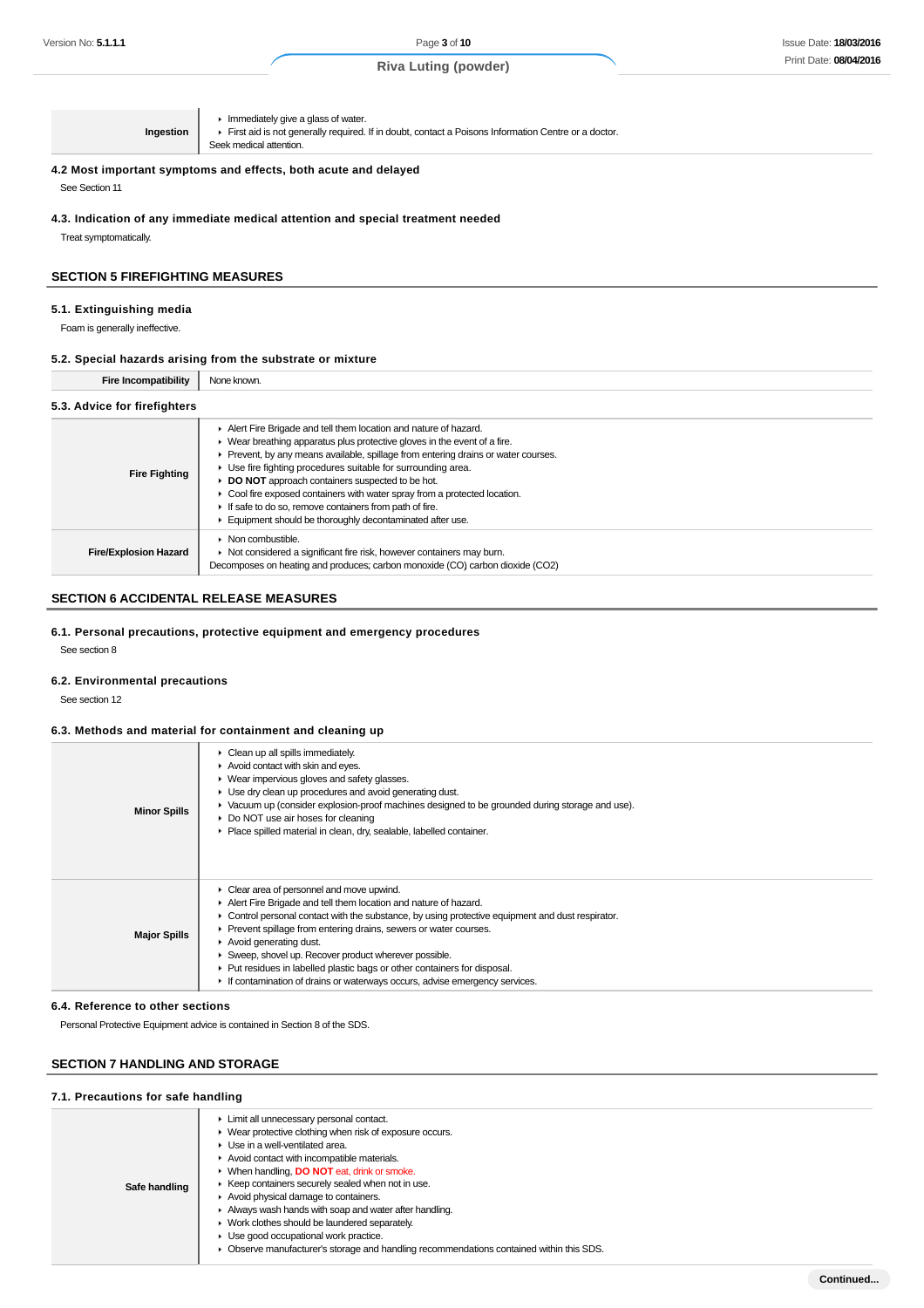| Ingestion                                                                                         | $\blacktriangleright$ Immediately give a glass of water.<br>First aid is not generally required. If in doubt, contact a Poisons Information Centre or a doctor.<br>Seek medical attention. |  |
|---------------------------------------------------------------------------------------------------|--------------------------------------------------------------------------------------------------------------------------------------------------------------------------------------------|--|
| 4.2 Most important symptoms and effects, both acute and delayed                                   |                                                                                                                                                                                            |  |
| See Section 11<br>4.3. Indication of any immediate medical attention and special treatment needed |                                                                                                                                                                                            |  |

Treat symptomatically.

### **SECTION 5 FIREFIGHTING MEASURES**

#### **5.1. Extinguishing media**

Foam is generally ineffective.

#### **5.2. Special hazards arising from the substrate or mixture**

| <b>Fire Incompatibility</b>  | None known.                                                                                                                                                                                                                                                                                                                                                                                                                                                                                                                                                   |
|------------------------------|---------------------------------------------------------------------------------------------------------------------------------------------------------------------------------------------------------------------------------------------------------------------------------------------------------------------------------------------------------------------------------------------------------------------------------------------------------------------------------------------------------------------------------------------------------------|
| 5.3. Advice for firefighters |                                                                                                                                                                                                                                                                                                                                                                                                                                                                                                                                                               |
| <b>Fire Fighting</b>         | Alert Fire Brigade and tell them location and nature of hazard.<br>• Wear breathing apparatus plus protective gloves in the event of a fire.<br>Prevent, by any means available, spillage from entering drains or water courses.<br>• Use fire fighting procedures suitable for surrounding area.<br><b>DO NOT</b> approach containers suspected to be hot.<br>Cool fire exposed containers with water spray from a protected location.<br>If safe to do so, remove containers from path of fire.<br>Equipment should be thoroughly decontaminated after use. |
| <b>Fire/Explosion Hazard</b> | $\triangleright$ Non combustible.<br>• Not considered a significant fire risk, however containers may burn.<br>Decomposes on heating and produces; carbon monoxide (CO) carbon dioxide (CO2)                                                                                                                                                                                                                                                                                                                                                                  |

### **SECTION 6 ACCIDENTAL RELEASE MEASURES**

#### **6.1. Personal precautions, protective equipment and emergency procedures**

See section 8

#### **6.2. Environmental precautions**

See section 12

#### **6.3. Methods and material for containment and cleaning up**

| <b>Minor Spills</b> | Clean up all spills immediately.<br>Avoid contact with skin and eyes.<br>▶ Wear impervious gloves and safety glasses.<br>▶ Use dry clean up procedures and avoid generating dust.<br>• Vacuum up (consider explosion-proof machines designed to be grounded during storage and use).<br>▶ Do NOT use air hoses for cleaning<br>Place spilled material in clean, dry, sealable, labelled container.                                                                                                                                                       |
|---------------------|----------------------------------------------------------------------------------------------------------------------------------------------------------------------------------------------------------------------------------------------------------------------------------------------------------------------------------------------------------------------------------------------------------------------------------------------------------------------------------------------------------------------------------------------------------|
| <b>Major Spills</b> | • Clear area of personnel and move upwind.<br>Alert Fire Brigade and tell them location and nature of hazard.<br>• Control personal contact with the substance, by using protective equipment and dust respirator.<br>Prevent spillage from entering drains, sewers or water courses.<br>$\blacktriangleright$ Avoid generating dust.<br>Sweep, shovel up. Recover product wherever possible.<br>▶ Put residues in labelled plastic bags or other containers for disposal.<br>If contamination of drains or waterways occurs, advise emergency services. |

#### **6.4. Reference to other sections**

Personal Protective Equipment advice is contained in Section 8 of the SDS.

### **SECTION 7 HANDLING AND STORAGE**

### **7.1. Precautions for safe handling**

| Safe handling | Limit all unnecessary personal contact.<br>▶ Wear protective clothing when risk of exposure occurs.<br>▶ Use in a well-ventilated area.<br>Avoid contact with incompatible materials.<br>▶ When handling, DO NOT eat, drink or smoke.<br>▶ Keep containers securely sealed when not in use.<br>Avoid physical damage to containers.<br>Always wash hands with soap and water after handling.<br>• Work clothes should be laundered separately.<br>• Use good occupational work practice.<br>• Observe manufacturer's storage and handling recommendations contained within this SDS. |
|---------------|--------------------------------------------------------------------------------------------------------------------------------------------------------------------------------------------------------------------------------------------------------------------------------------------------------------------------------------------------------------------------------------------------------------------------------------------------------------------------------------------------------------------------------------------------------------------------------------|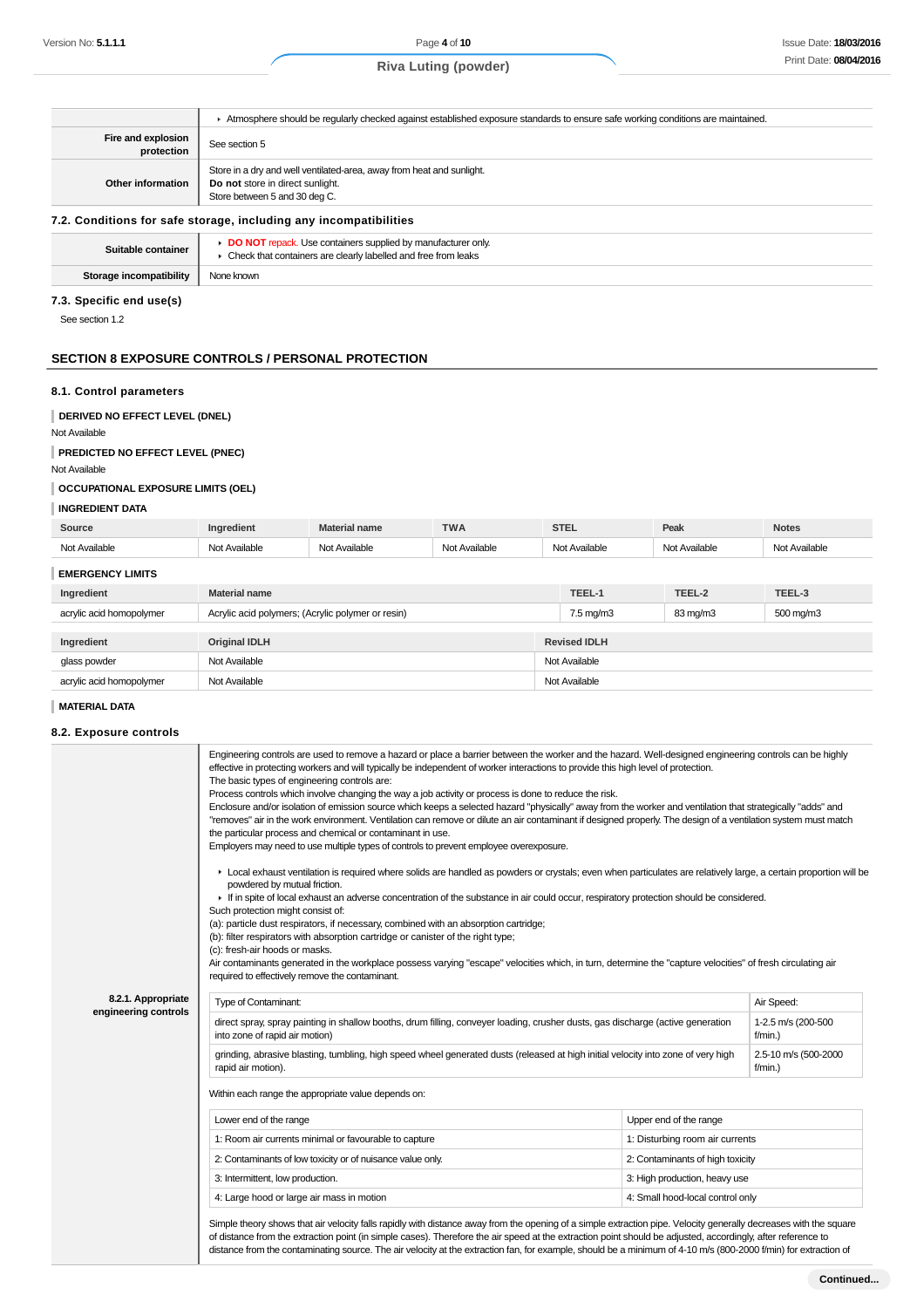|                                  | Atmosphere should be regularly checked against established exposure standards to ensure safe working conditions are maintained.            |
|----------------------------------|--------------------------------------------------------------------------------------------------------------------------------------------|
| Fire and explosion<br>protection | See section 5                                                                                                                              |
| Other information                | Store in a dry and well ventilated-area, away from heat and sunlight.<br>Do not store in direct sunlight.<br>Store between 5 and 30 deg C. |

### **7.2. Conditions for safe storage, including any**

| Suitable container      | <b>DO NOT</b> repack. Use containers supplied by manufacturer only<br>Check that containers are clearly labelled and free from leaks |
|-------------------------|--------------------------------------------------------------------------------------------------------------------------------------|
| Storage incompatibility | None known                                                                                                                           |

### **7.3. Specific end use(s)**

See section 1.2

### **SECTION 8 EXPOSURE CONTROLS / PERSONAL PROTECTION**

#### **8.1. Control parameters**

# **DERIVED NO EFFECT LEVEL (DNEL)**

Not Available

#### **PREDICTED NO EFFECT LEVEL (PNEC)**

Not Available

#### **OCCUPATIONAL EXPOSURE LIMITS (OEL)**

### **INGREDIENT DATA**

| Source                   | Ingredient                                        | <b>Material name</b> | <b>TWA</b>    | <b>STEL</b>          |  | Peak          | <b>Notes</b>  |
|--------------------------|---------------------------------------------------|----------------------|---------------|----------------------|--|---------------|---------------|
| Not Available            | Not Available                                     | Not Available        | Not Available | Not Available        |  | Not Available | Not Available |
| <b>EMERGENCY LIMITS</b>  |                                                   |                      |               |                      |  |               |               |
| Ingredient               | <b>Material name</b>                              |                      |               | TEEL-1               |  | TEEL-2        | TEEL-3        |
| acrylic acid homopolymer | Acrylic acid polymers; (Acrylic polymer or resin) |                      |               | $7.5 \text{ mg/m}$ 3 |  | 83 mg/m3      | 500 mg/m3     |
|                          |                                                   |                      |               |                      |  |               |               |
| Ingredient               | <b>Original IDLH</b>                              |                      |               | <b>Revised IDLH</b>  |  |               |               |
| glass powder             | Not Available                                     |                      |               | Not Available        |  |               |               |
| acrylic acid homopolymer | Not Available                                     |                      |               | Not Available        |  |               |               |

#### **MATERIAL DATA**

#### **8.2. Exposure controls**

|                      | Engineering controls are used to remove a hazard or place a barrier between the worker and the hazard. Well-designed engineering controls can be highly<br>effective in protecting workers and will typically be independent of worker interactions to provide this high level of protection.<br>The basic types of engineering controls are:<br>Process controls which involve changing the way a job activity or process is done to reduce the risk.<br>Enclosure and/or isolation of emission source which keeps a selected hazard "physically" away from the worker and ventilation that strategically "adds" and<br>"removes" air in the work environment. Ventilation can remove or dilute an air contaminant if designed properly. The design of a ventilation system must match<br>the particular process and chemical or contaminant in use.<br>Employers may need to use multiple types of controls to prevent employee overexposure. |                                  |                                    |  |  |
|----------------------|-------------------------------------------------------------------------------------------------------------------------------------------------------------------------------------------------------------------------------------------------------------------------------------------------------------------------------------------------------------------------------------------------------------------------------------------------------------------------------------------------------------------------------------------------------------------------------------------------------------------------------------------------------------------------------------------------------------------------------------------------------------------------------------------------------------------------------------------------------------------------------------------------------------------------------------------------|----------------------------------|------------------------------------|--|--|
|                      | ► Local exhaust ventilation is required where solids are handled as powders or crystals; even when particulates are relatively large, a certain proportion will be<br>powdered by mutual friction.<br>If in spite of local exhaust an adverse concentration of the substance in air could occur, respiratory protection should be considered.<br>Such protection might consist of:<br>(a): particle dust respirators, if necessary, combined with an absorption cartridge;<br>(b): filter respirators with absorption cartridge or canister of the right type;<br>(c): fresh-air hoods or masks.<br>Air contaminants generated in the workplace possess varying "escape" velocities which, in turn, determine the "capture velocities" of fresh circulating air<br>required to effectively remove the contaminant.                                                                                                                              |                                  |                                    |  |  |
| 8.2.1. Appropriate   | Type of Contaminant:                                                                                                                                                                                                                                                                                                                                                                                                                                                                                                                                                                                                                                                                                                                                                                                                                                                                                                                            |                                  | Air Speed:                         |  |  |
| engineering controls | direct spray, spray painting in shallow booths, drum filling, conveyer loading, crusher dusts, gas discharge (active generation<br>1-2.5 m/s (200-500<br>into zone of rapid air motion)<br>$f/min.$ )                                                                                                                                                                                                                                                                                                                                                                                                                                                                                                                                                                                                                                                                                                                                           |                                  |                                    |  |  |
|                      | grinding, abrasive blasting, tumbling, high speed wheel generated dusts (released at high initial velocity into zone of very high<br>rapid air motion).                                                                                                                                                                                                                                                                                                                                                                                                                                                                                                                                                                                                                                                                                                                                                                                         |                                  | 2.5-10 m/s (500-2000<br>$f/min.$ ) |  |  |
|                      | Within each range the appropriate value depends on:                                                                                                                                                                                                                                                                                                                                                                                                                                                                                                                                                                                                                                                                                                                                                                                                                                                                                             |                                  |                                    |  |  |
|                      | Lower end of the range                                                                                                                                                                                                                                                                                                                                                                                                                                                                                                                                                                                                                                                                                                                                                                                                                                                                                                                          | Upper end of the range           |                                    |  |  |
|                      | 1: Room air currents minimal or favourable to capture                                                                                                                                                                                                                                                                                                                                                                                                                                                                                                                                                                                                                                                                                                                                                                                                                                                                                           | 1: Disturbing room air currents  |                                    |  |  |
|                      | 2: Contaminants of low toxicity or of nuisance value only.                                                                                                                                                                                                                                                                                                                                                                                                                                                                                                                                                                                                                                                                                                                                                                                                                                                                                      | 2: Contaminants of high toxicity |                                    |  |  |
|                      | 3: Intermittent, low production.                                                                                                                                                                                                                                                                                                                                                                                                                                                                                                                                                                                                                                                                                                                                                                                                                                                                                                                | 3: High production, heavy use    |                                    |  |  |
|                      |                                                                                                                                                                                                                                                                                                                                                                                                                                                                                                                                                                                                                                                                                                                                                                                                                                                                                                                                                 | 4: Small hood-local control only |                                    |  |  |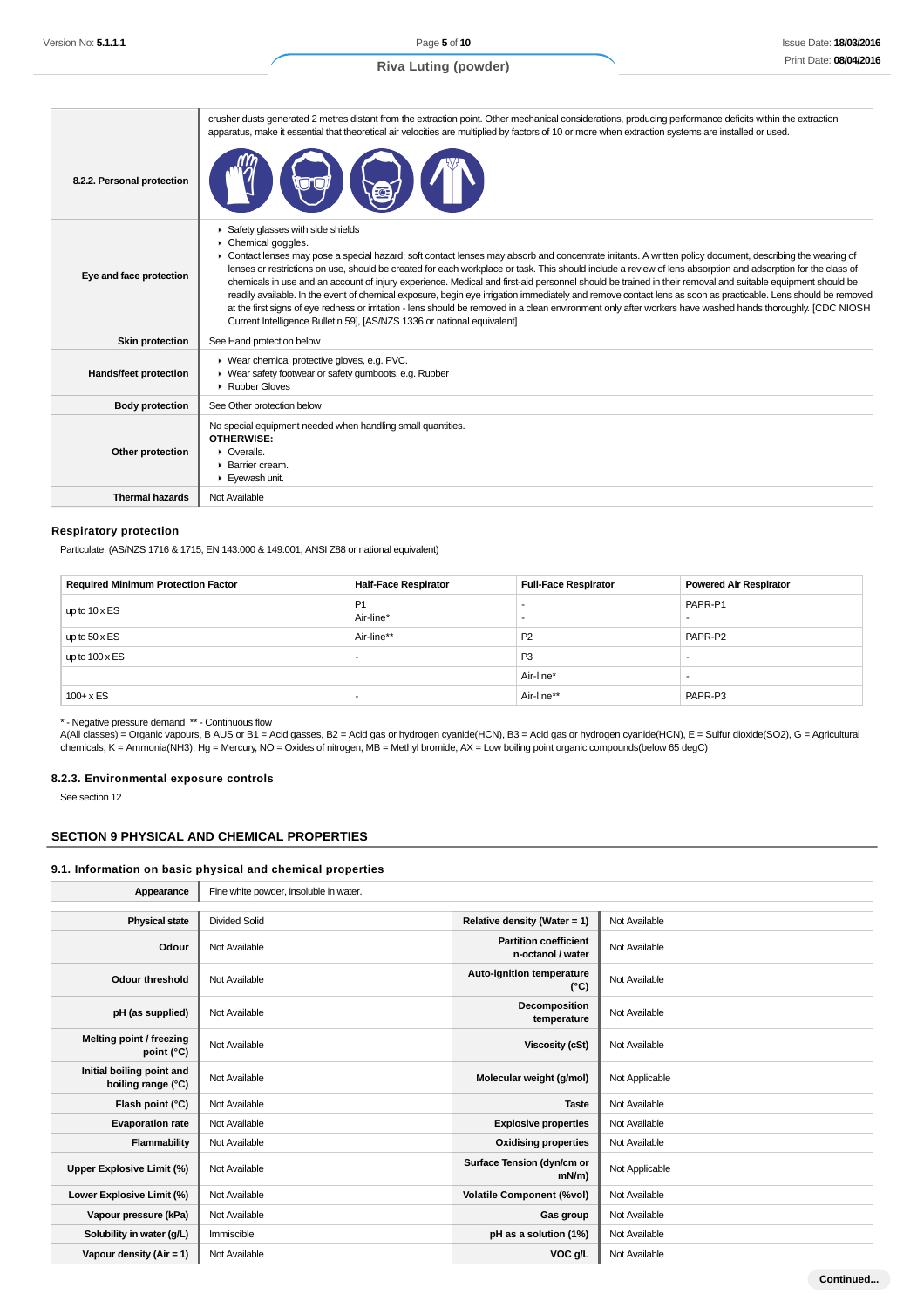|                            | crusher dusts generated 2 metres distant from the extraction point. Other mechanical considerations, producing performance deficits within the extraction<br>apparatus, make it essential that theoretical air velocities are multiplied by factors of 10 or more when extraction systems are installed or used.                                                                                                                                                                                                                                                                                                                                                                                                                                                                                                                                                                                                                                            |
|----------------------------|-------------------------------------------------------------------------------------------------------------------------------------------------------------------------------------------------------------------------------------------------------------------------------------------------------------------------------------------------------------------------------------------------------------------------------------------------------------------------------------------------------------------------------------------------------------------------------------------------------------------------------------------------------------------------------------------------------------------------------------------------------------------------------------------------------------------------------------------------------------------------------------------------------------------------------------------------------------|
| 8.2.2. Personal protection |                                                                                                                                                                                                                                                                                                                                                                                                                                                                                                                                                                                                                                                                                                                                                                                                                                                                                                                                                             |
| Eye and face protection    | Safety glasses with side shields<br>Chemical goggles.<br>► Contact lenses may pose a special hazard; soft contact lenses may absorb and concentrate irritants. A written policy document, describing the wearing of<br>lenses or restrictions on use, should be created for each workplace or task. This should include a review of lens absorption and adsorption for the class of<br>chemicals in use and an account of injury experience. Medical and first-aid personnel should be trained in their removal and suitable equipment should be<br>readily available. In the event of chemical exposure, begin eye irrigation immediately and remove contact lens as soon as practicable. Lens should be removed<br>at the first signs of eye redness or irritation - lens should be removed in a clean environment only after workers have washed hands thoroughly. [CDC NIOSH<br>Current Intelligence Bulletin 59], [AS/NZS 1336 or national equivalent] |
| <b>Skin protection</b>     | See Hand protection below                                                                                                                                                                                                                                                                                                                                                                                                                                                                                                                                                                                                                                                                                                                                                                                                                                                                                                                                   |
| Hands/feet protection      | ▶ Wear chemical protective gloves, e.g. PVC.<br>▶ Wear safety footwear or safety gumboots, e.g. Rubber<br>Rubber Gloves                                                                                                                                                                                                                                                                                                                                                                                                                                                                                                                                                                                                                                                                                                                                                                                                                                     |
| <b>Body protection</b>     | See Other protection below                                                                                                                                                                                                                                                                                                                                                                                                                                                                                                                                                                                                                                                                                                                                                                                                                                                                                                                                  |
| Other protection           | No special equipment needed when handling small quantities.<br><b>OTHERWISE:</b><br>$\triangleright$ Overalls.<br>▶ Barrier cream.<br>Eyewash unit.                                                                                                                                                                                                                                                                                                                                                                                                                                                                                                                                                                                                                                                                                                                                                                                                         |
| <b>Thermal hazards</b>     | Not Available                                                                                                                                                                                                                                                                                                                                                                                                                                                                                                                                                                                                                                                                                                                                                                                                                                                                                                                                               |

#### **Respiratory protection**

Particulate. (AS/NZS 1716 & 1715, EN 143:000 & 149:001, ANSI Z88 or national equivalent)

| <b>Required Minimum Protection Factor</b> | <b>Half-Face Respirator</b> | <b>Full-Face Respirator</b> | <b>Powered Air Respirator</b> |
|-------------------------------------------|-----------------------------|-----------------------------|-------------------------------|
| up to $10 \times ES$                      | P1<br>Air-line*             |                             | PAPR-P1                       |
| up to $50 \times ES$                      | Air-line**                  | P <sub>2</sub>              | PAPR-P2                       |
| up to $100 \times ES$                     |                             | P <sub>3</sub>              | $\overline{\phantom{a}}$      |
|                                           |                             | Air-line*                   |                               |
| $100 + x ES$                              |                             | Air-line**                  | PAPR-P3                       |

\* - Negative pressure demand \*\* - Continuous flow

A(All classes) = Organic vapours, B AUS or B1 = Acid gasses, B2 = Acid gas or hydrogen cyanide(HCN), B3 = Acid gas or hydrogen cyanide(HCN), E = Sulfur dioxide(SO2), G = Agricultural chemicals, K = Ammonia(NH3), Hg = Mercury, NO = Oxides of nitrogen, MB = Methyl bromide, AX = Low boiling point organic compounds(below 65 degC)

#### **8.2.3. Environmental exposure controls**

See section 12

#### **SECTION 9 PHYSICAL AND CHEMICAL PROPERTIES**

# **9.1. Information on basic physical and chemical properties**

| Appearance                                      | Fine white powder, insoluble in water. |                                                   |                |  |  |
|-------------------------------------------------|----------------------------------------|---------------------------------------------------|----------------|--|--|
|                                                 |                                        |                                                   |                |  |  |
| <b>Physical state</b>                           | <b>Divided Solid</b>                   | Relative density (Water = 1)                      | Not Available  |  |  |
| Odour                                           | Not Available                          | <b>Partition coefficient</b><br>n-octanol / water | Not Available  |  |  |
| <b>Odour threshold</b>                          | Not Available                          | Auto-ignition temperature<br>$(^{\circ}C)$        | Not Available  |  |  |
| pH (as supplied)                                | Not Available                          | Decomposition<br>temperature                      | Not Available  |  |  |
| Melting point / freezing<br>point (°C)          | Not Available                          | Viscosity (cSt)                                   | Not Available  |  |  |
| Initial boiling point and<br>boiling range (°C) | Not Available                          | Molecular weight (g/mol)                          | Not Applicable |  |  |
| Flash point (°C)                                | Not Available                          | <b>Taste</b>                                      | Not Available  |  |  |
| <b>Evaporation rate</b>                         | Not Available                          | <b>Explosive properties</b>                       | Not Available  |  |  |
| Flammability                                    | Not Available                          | <b>Oxidising properties</b>                       | Not Available  |  |  |
| Upper Explosive Limit (%)                       | Not Available                          | Surface Tension (dyn/cm or<br>$mN/m$ )            | Not Applicable |  |  |
| Lower Explosive Limit (%)                       | Not Available                          | <b>Volatile Component (%vol)</b>                  | Not Available  |  |  |
| Vapour pressure (kPa)                           | Not Available                          | Gas group                                         | Not Available  |  |  |
| Solubility in water (g/L)                       | Immiscible                             | pH as a solution (1%)                             | Not Available  |  |  |
| Vapour density $(Air = 1)$                      | Not Available                          | VOC g/L                                           | Not Available  |  |  |
|                                                 |                                        |                                                   |                |  |  |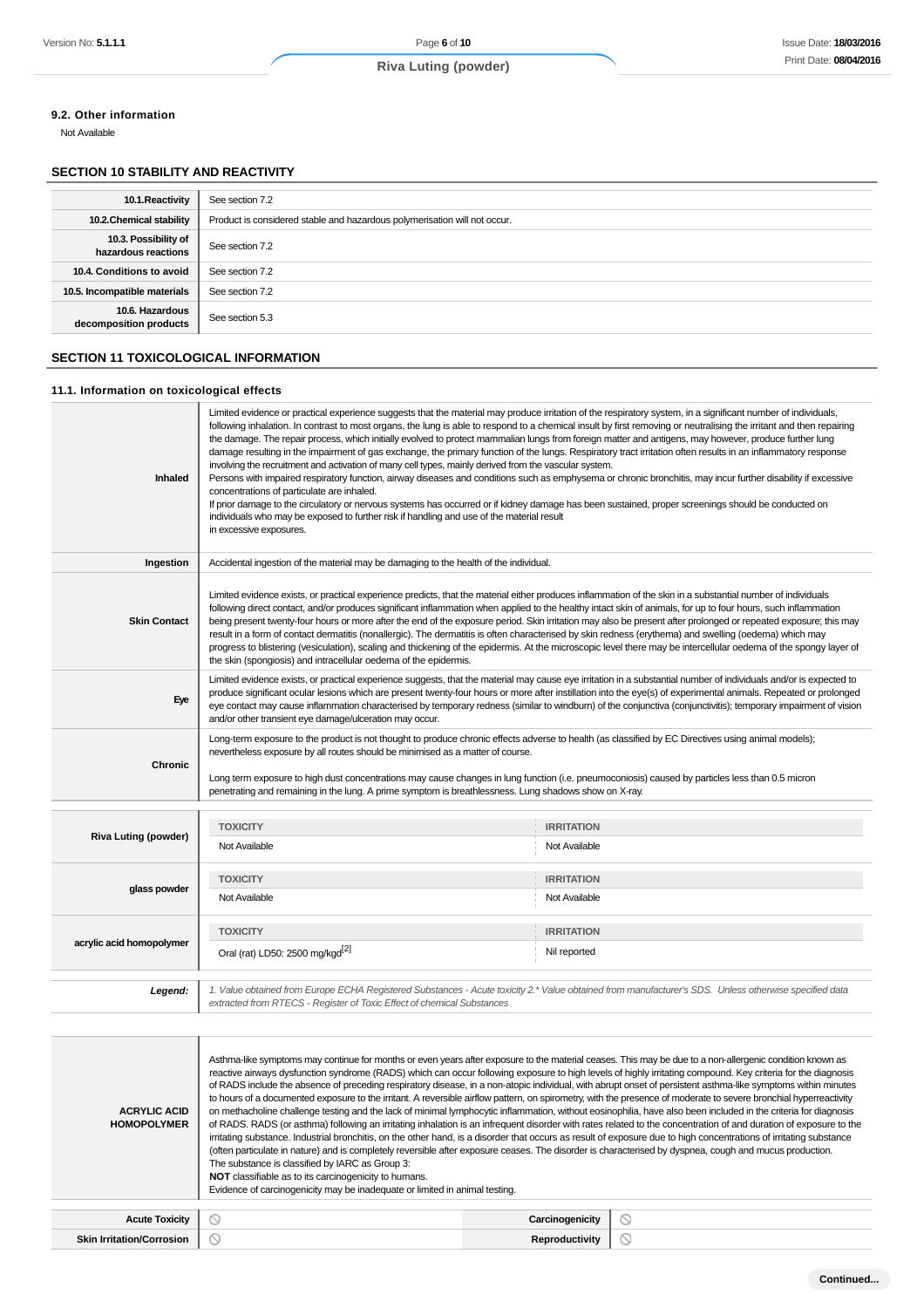### **9.2. Other information**

Not Available

### **SECTION 10 STABILITY AND REACTIVITY**

| 10.1. Reactivity                            | See section 7.2                                                           |
|---------------------------------------------|---------------------------------------------------------------------------|
| 10.2. Chemical stability                    | Product is considered stable and hazardous polymerisation will not occur. |
| 10.3. Possibility of<br>hazardous reactions | See section 7.2                                                           |
| 10.4. Conditions to avoid                   | See section 7.2                                                           |
| 10.5. Incompatible materials                | See section 7.2                                                           |
| 10.6. Hazardous<br>decomposition products   | See section 5.3                                                           |

### **SECTION 11 TOXICOLOGICAL INFORMATION**

#### **11.1. Information on toxicological effects**

| Inhaled             | Limited evidence or practical experience suggests that the material may produce irritation of the respiratory system, in a significant number of individuals,<br>following inhalation. In contrast to most organs, the lung is able to respond to a chemical insult by first removing or neutralising the irritant and then repairing<br>the damage. The repair process, which initially evolved to protect mammalian lungs from foreign matter and antigens, may however, produce further lung<br>damage resulting in the impairment of gas exchange, the primary function of the lungs. Respiratory tract irritation often results in an inflammatory response<br>involving the recruitment and activation of many cell types, mainly derived from the vascular system.<br>Persons with impaired respiratory function, airway diseases and conditions such as emphysema or chronic bronchitis, may incur further disability if excessive<br>concentrations of particulate are inhaled.<br>If prior damage to the circulatory or nervous systems has occurred or if kidney damage has been sustained, proper screenings should be conducted on<br>individuals who may be exposed to further risk if handling and use of the material result<br>in excessive exposures. |
|---------------------|-------------------------------------------------------------------------------------------------------------------------------------------------------------------------------------------------------------------------------------------------------------------------------------------------------------------------------------------------------------------------------------------------------------------------------------------------------------------------------------------------------------------------------------------------------------------------------------------------------------------------------------------------------------------------------------------------------------------------------------------------------------------------------------------------------------------------------------------------------------------------------------------------------------------------------------------------------------------------------------------------------------------------------------------------------------------------------------------------------------------------------------------------------------------------------------------------------------------------------------------------------------------------|
| Ingestion           | Accidental ingestion of the material may be damaging to the health of the individual.                                                                                                                                                                                                                                                                                                                                                                                                                                                                                                                                                                                                                                                                                                                                                                                                                                                                                                                                                                                                                                                                                                                                                                                   |
| <b>Skin Contact</b> | Limited evidence exists, or practical experience predicts, that the material either produces inflammation of the skin in a substantial number of individuals<br>following direct contact, and/or produces significant inflammation when applied to the healthy intact skin of animals, for up to four hours, such inflammation<br>being present twenty-four hours or more after the end of the exposure period. Skin irritation may also be present after prolonged or repeated exposure; this may<br>result in a form of contact dermatitis (nonallergic). The dermatitis is often characterised by skin redness (erythema) and swelling (oedema) which may<br>progress to blistering (vesiculation), scaling and thickening of the epidermis. At the microscopic level there may be intercellular oedema of the spongy layer of<br>the skin (spongiosis) and intracellular oedema of the epidermis.                                                                                                                                                                                                                                                                                                                                                                   |
| Eye                 | Limited evidence exists, or practical experience suggests, that the material may cause eye irritation in a substantial number of individuals and/or is expected to<br>produce significant ocular lesions which are present twenty-four hours or more after instillation into the eye(s) of experimental animals. Repeated or prolonged<br>eye contact may cause inflammation characterised by temporary redness (similar to windburn) of the conjunctiva (conjunctivitis); temporary impairment of vision<br>and/or other transient eye damage/ulceration may occur.                                                                                                                                                                                                                                                                                                                                                                                                                                                                                                                                                                                                                                                                                                    |
| Chronic             | Long-term exposure to the product is not thought to produce chronic effects adverse to health (as classified by EC Directives using animal models);<br>nevertheless exposure by all routes should be minimised as a matter of course.<br>Long term exposure to high dust concentrations may cause changes in lung function (i.e. pneumoconiosis) caused by particles less than 0.5 micron<br>penetrating and remaining in the lung. A prime symptom is breathlessness. Lung shadows show on X-ray.                                                                                                                                                                                                                                                                                                                                                                                                                                                                                                                                                                                                                                                                                                                                                                      |

| Riva Luting (powder)     | <b>TOXICITY</b>                                                                                                                                                                                                                 | <b>IRRITATION</b> |  |  |
|--------------------------|---------------------------------------------------------------------------------------------------------------------------------------------------------------------------------------------------------------------------------|-------------------|--|--|
|                          | Not Available                                                                                                                                                                                                                   | Not Available     |  |  |
| glass powder             | <b>TOXICITY</b>                                                                                                                                                                                                                 | <b>IRRITATION</b> |  |  |
|                          | Not Available                                                                                                                                                                                                                   | Not Available     |  |  |
|                          | <b>TOXICITY</b>                                                                                                                                                                                                                 | <b>IRRITATION</b> |  |  |
| acrylic acid homopolymer | Oral (rat) LD50: 2500 mg/kgd <sup>[2]</sup>                                                                                                                                                                                     | Nil reported      |  |  |
|                          |                                                                                                                                                                                                                                 |                   |  |  |
| Legend:                  | 1. Value obtained from Europe ECHA Registered Substances - Acute toxicity 2.* Value obtained from manufacturer's SDS. Unless otherwise specified data<br>extracted from RTECS - Register of Toxic Effect of chemical Substances |                   |  |  |

| <b>ACRYLIC ACID</b><br><b>HOMOPOLYMER</b> | Asthma-like symptoms may continue for months or even years after exposure to the material ceases. This may be due to a non-allergenic condition known as<br>reactive airways dysfunction syndrome (RADS) which can occur following exposure to high levels of highly irritating compound. Key criteria for the diagnosis<br>of RADS include the absence of preceding respiratory disease, in a non-atopic individual, with abrupt onset of persistent asthma-like symptoms within minutes<br>to hours of a documented exposure to the irritant. A reversible airflow pattern, on spirometry, with the presence of moderate to severe bronchial hyperreactivity<br>on methacholine challenge testing and the lack of minimal lymphocytic inflammation, without eosinophilia, have also been included in the criteria for diagnosis<br>of RADS. RADS (or asthma) following an irritating inhalation is an infrequent disorder with rates related to the concentration of and duration of exposure to the<br>irritating substance. Industrial bronchitis, on the other hand, is a disorder that occurs as result of exposure due to high concentrations of irritating substance<br>(often particulate in nature) and is completely reversible after exposure ceases. The disorder is characterised by dyspnea, cough and mucus production.<br>The substance is classified by IARC as Group 3:<br>NOT classifiable as to its carcinogenicity to humans.<br>Evidence of carcinogenicity may be inadequate or limited in animal testing. |                 |         |  |  |  |
|-------------------------------------------|------------------------------------------------------------------------------------------------------------------------------------------------------------------------------------------------------------------------------------------------------------------------------------------------------------------------------------------------------------------------------------------------------------------------------------------------------------------------------------------------------------------------------------------------------------------------------------------------------------------------------------------------------------------------------------------------------------------------------------------------------------------------------------------------------------------------------------------------------------------------------------------------------------------------------------------------------------------------------------------------------------------------------------------------------------------------------------------------------------------------------------------------------------------------------------------------------------------------------------------------------------------------------------------------------------------------------------------------------------------------------------------------------------------------------------------------------------------------------------------------------------------------------------|-----------------|---------|--|--|--|
| <b>Acute Toxicity</b>                     |                                                                                                                                                                                                                                                                                                                                                                                                                                                                                                                                                                                                                                                                                                                                                                                                                                                                                                                                                                                                                                                                                                                                                                                                                                                                                                                                                                                                                                                                                                                                    | Carcinogenicity | Ø       |  |  |  |
| <b>Skin Irritation/Corrosion</b>          |                                                                                                                                                                                                                                                                                                                                                                                                                                                                                                                                                                                                                                                                                                                                                                                                                                                                                                                                                                                                                                                                                                                                                                                                                                                                                                                                                                                                                                                                                                                                    | Reproductivity  | $\circ$ |  |  |  |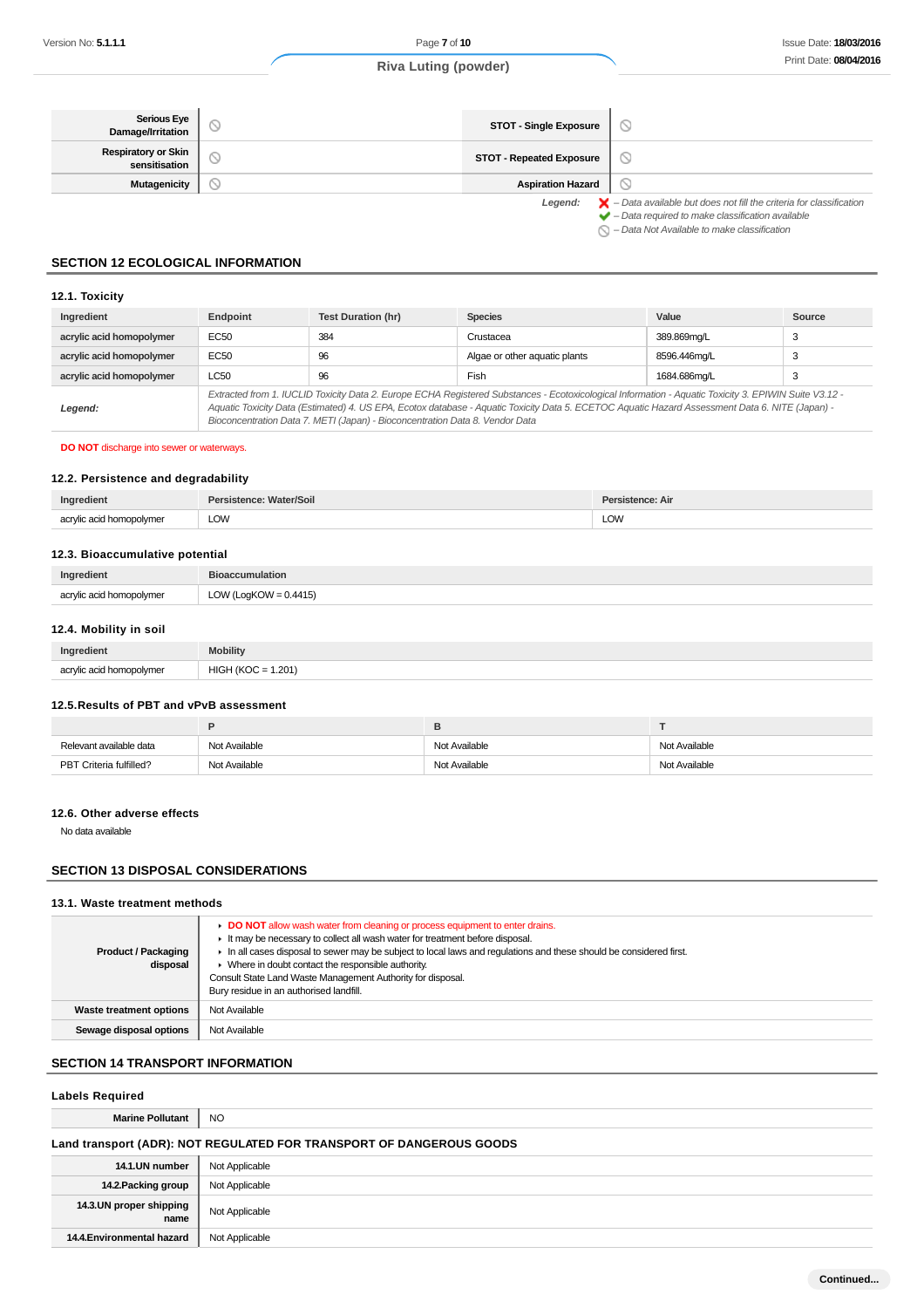| Serious Eye<br>Damage/Irritation            | <b>STOT - Single Exposure</b>   |                                                                                                                                                                    |
|---------------------------------------------|---------------------------------|--------------------------------------------------------------------------------------------------------------------------------------------------------------------|
| <b>Respiratory or Skin</b><br>sensitisation | <b>STOT - Repeated Exposure</b> |                                                                                                                                                                    |
| Mutagenicity                                | <b>Aspiration Hazard</b>        |                                                                                                                                                                    |
|                                             | Legend:                         | $\blacktriangleright$ - Data available but does not fill the criteria for classification<br>$\blacktriangleright$ - Data required to make classification available |

 $\bigcirc$  – Data Not Available to make classification

# **SECTION 12 ECOLOGICAL INFORMATION**

### **12.1. Toxicity**

| Ingredient               | Endpoint                                                                                                                                                                                                                                                                                                                                                                                 | <b>Test Duration (hr)</b> | <b>Species</b>                | Value        | Source |
|--------------------------|------------------------------------------------------------------------------------------------------------------------------------------------------------------------------------------------------------------------------------------------------------------------------------------------------------------------------------------------------------------------------------------|---------------------------|-------------------------------|--------------|--------|
| acrylic acid homopolymer | EC50                                                                                                                                                                                                                                                                                                                                                                                     | 384                       | Crustacea                     | 389.869mg/L  | 3      |
| acrylic acid homopolymer | EC50                                                                                                                                                                                                                                                                                                                                                                                     | 96                        | Algae or other aquatic plants | 8596.446ma/L | 3      |
| acrylic acid homopolymer | LC50                                                                                                                                                                                                                                                                                                                                                                                     | 96                        | Fish                          | 1684.686ma/L | 3      |
| Legend:                  | Extracted from 1. IUCLID Toxicity Data 2. Europe ECHA Registered Substances - Ecotoxicological Information - Aquatic Toxicity 3. EPIWIN Suite V3.12 -<br>Aquatic Toxicity Data (Estimated) 4. US EPA, Ecotox database - Aquatic Toxicity Data 5. ECETOC Aquatic Hazard Assessment Data 6. NITE (Japan) -<br>Bioconcentration Data 7. METI (Japan) - Bioconcentration Data 8. Vendor Data |                           |                               |              |        |

#### **DO NOT** discharge into sewer or waterways.

### **12.2. Persistence and degradability**

| Ingredient          | Soil | : Air |
|---------------------|------|-------|
| $\sim$<br>$m\alpha$ | LOW  | LOW   |

#### **12.3. Bioaccumulative potential**

| Ingredient               | <b>Bioaccumulation</b>   |
|--------------------------|--------------------------|
| acrylic acid homopolymer | LOW (LogKOW = $0.4415$ ) |

### **12.4. Mobility in soil**

| Ingredient               | <b>Mobility</b>           |
|--------------------------|---------------------------|
| acrylic acid homopolymer | 1.201<br>$HIGH (KOC = 1.$ |

### **12.5.Results of PBT and vPvB assessment**

| Relevant available data | Not Available | Not Available | Not Available |
|-------------------------|---------------|---------------|---------------|
| PBT Criteria fulfilled? | Not Available | Not Available | Not Available |

#### **12.6. Other adverse effects**

No data available

### **SECTION 13 DISPOSAL CONSIDERATIONS**

### **13.1. Waste treatment methods**

| <b>Product / Packaging</b><br>disposal | DO NOT allow wash water from cleaning or process equipment to enter drains.<br>It may be necessary to collect all wash water for treatment before disposal.<br>In all cases disposal to sewer may be subject to local laws and requlations and these should be considered first.<br>• Where in doubt contact the responsible authority.<br>Consult State Land Waste Management Authority for disposal.<br>Bury residue in an authorised landfill. |
|----------------------------------------|---------------------------------------------------------------------------------------------------------------------------------------------------------------------------------------------------------------------------------------------------------------------------------------------------------------------------------------------------------------------------------------------------------------------------------------------------|
| Waste treatment options                | Not Available                                                                                                                                                                                                                                                                                                                                                                                                                                     |
| Sewage disposal options                | Not Available                                                                                                                                                                                                                                                                                                                                                                                                                                     |

### **SECTION 14 TRANSPORT INFORMATION**

| <b>Labels Required</b>                                               |                |  |  |
|----------------------------------------------------------------------|----------------|--|--|
| <b>Marine Pollutant</b>                                              | NO.            |  |  |
| Land transport (ADR): NOT REGULATED FOR TRANSPORT OF DANGEROUS GOODS |                |  |  |
| 14.1.UN number                                                       | Not Applicable |  |  |
| 14.2. Packing group                                                  | Not Applicable |  |  |
| 14.3.UN proper shipping<br>name                                      | Not Applicable |  |  |
| 14.4. Environmental hazard                                           | Not Applicable |  |  |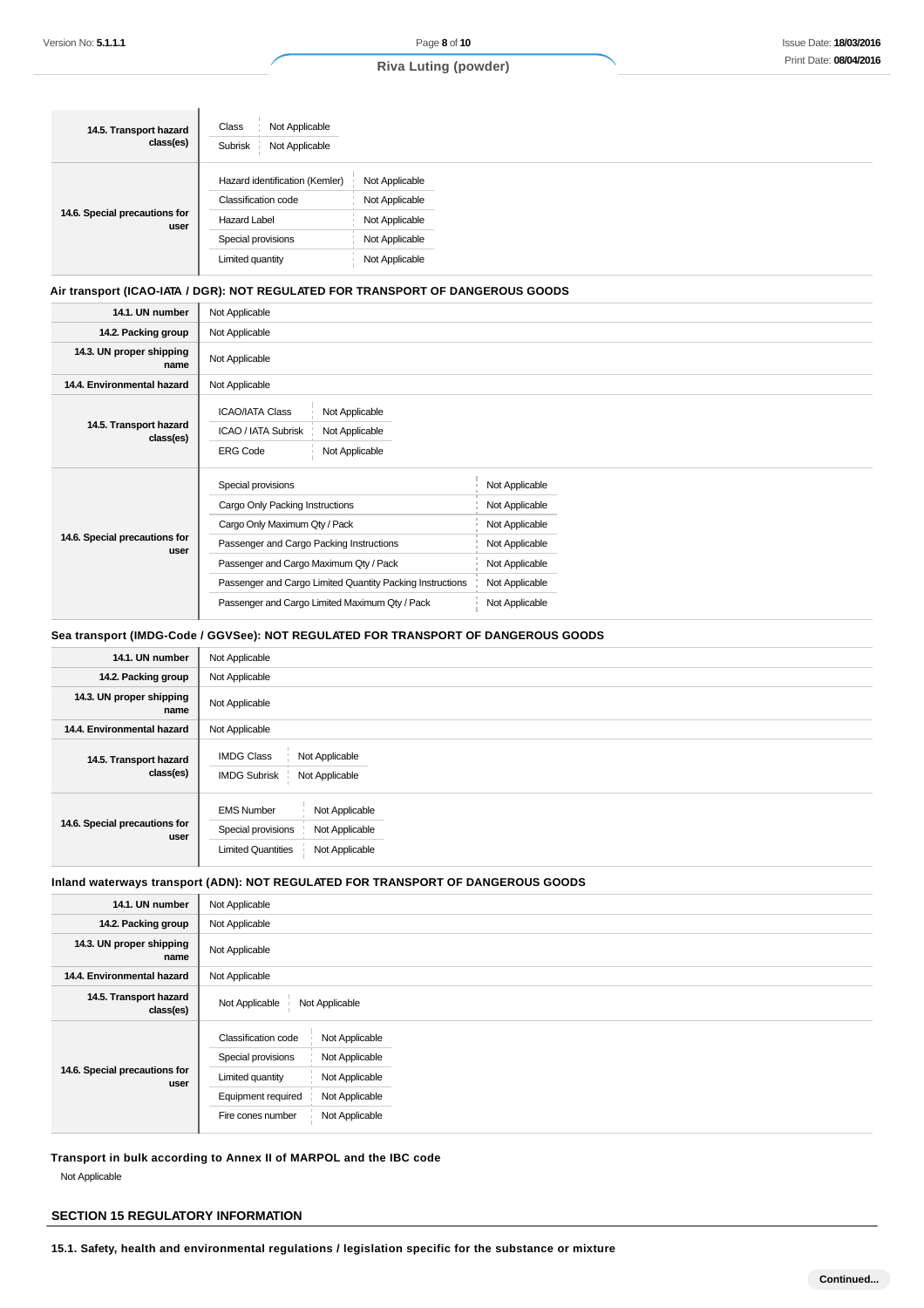| 14.5. Transport hazard<br>class(es)   | Not Applicable<br>Class<br>Not Applicable<br>Subrisk |                |
|---------------------------------------|------------------------------------------------------|----------------|
|                                       | Hazard identification (Kemler)                       | Not Applicable |
| 14.6. Special precautions for<br>user | Classification code                                  | Not Applicable |
|                                       | <b>Hazard Label</b>                                  | Not Applicable |
|                                       | Special provisions                                   | Not Applicable |
|                                       | Limited quantity                                     | Not Applicable |

#### **Air transport (ICAO-IATA / DGR): NOT REGULATED FOR TRANSPORT OF DANGEROUS GOODS**

| 14.1. UN number                       | Not Applicable                                                                                                         |                |  |
|---------------------------------------|------------------------------------------------------------------------------------------------------------------------|----------------|--|
| 14.2. Packing group                   | Not Applicable                                                                                                         |                |  |
| 14.3. UN proper shipping<br>name      | Not Applicable                                                                                                         |                |  |
| 14.4. Environmental hazard            | Not Applicable                                                                                                         |                |  |
| 14.5. Transport hazard<br>class(es)   | <b>ICAO/IATA Class</b><br>Not Applicable<br>ICAO / IATA Subrisk<br>Not Applicable<br><b>ERG Code</b><br>Not Applicable |                |  |
|                                       | Special provisions                                                                                                     | Not Applicable |  |
|                                       | Cargo Only Packing Instructions                                                                                        | Not Applicable |  |
|                                       | Cargo Only Maximum Qty / Pack                                                                                          | Not Applicable |  |
| 14.6. Special precautions for<br>user | Passenger and Cargo Packing Instructions                                                                               | Not Applicable |  |
|                                       | Passenger and Cargo Maximum Qty / Pack                                                                                 | Not Applicable |  |
|                                       | Passenger and Cargo Limited Quantity Packing Instructions                                                              | Not Applicable |  |
|                                       | Passenger and Cargo Limited Maximum Qty / Pack                                                                         | Not Applicable |  |

### **Sea transport (IMDG-Code / GGVSee): NOT REGULATED FOR TRANSPORT OF DANGEROUS GOODS**

| 14.1. UN number                       | Not Applicable                                                                                                             |
|---------------------------------------|----------------------------------------------------------------------------------------------------------------------------|
| 14.2. Packing group                   | Not Applicable                                                                                                             |
| 14.3. UN proper shipping<br>name      | Not Applicable                                                                                                             |
| 14.4. Environmental hazard            | Not Applicable                                                                                                             |
| 14.5. Transport hazard<br>class(es)   | <b>IMDG Class</b><br>Not Applicable<br><b>IMDG Subrisk</b><br>Not Applicable                                               |
| 14.6. Special precautions for<br>user | <b>EMS Number</b><br>Not Applicable<br>Special provisions<br>Not Applicable<br>Not Applicable<br><b>Limited Quantities</b> |

### **Inland waterways transport (ADN): NOT REGULATED FOR TRANSPORT OF DANGEROUS GOODS**

| 14.1. UN number                       | Not Applicable                                                                                                                                                                                     |
|---------------------------------------|----------------------------------------------------------------------------------------------------------------------------------------------------------------------------------------------------|
| 14.2. Packing group                   | Not Applicable                                                                                                                                                                                     |
| 14.3. UN proper shipping<br>name      | Not Applicable                                                                                                                                                                                     |
| 14.4. Environmental hazard            | Not Applicable                                                                                                                                                                                     |
| 14.5. Transport hazard<br>class(es)   | Not Applicable<br>Not Applicable                                                                                                                                                                   |
| 14.6. Special precautions for<br>user | Classification code<br>Not Applicable<br>Special provisions<br>Not Applicable<br>Not Applicable<br>Limited quantity<br>Equipment required<br>Not Applicable<br>Not Applicable<br>Fire cones number |

**Transport in bulk according to Annex II of MARPOL and the IBC code** Not Applicable

### **SECTION 15 REGULATORY INFORMATION**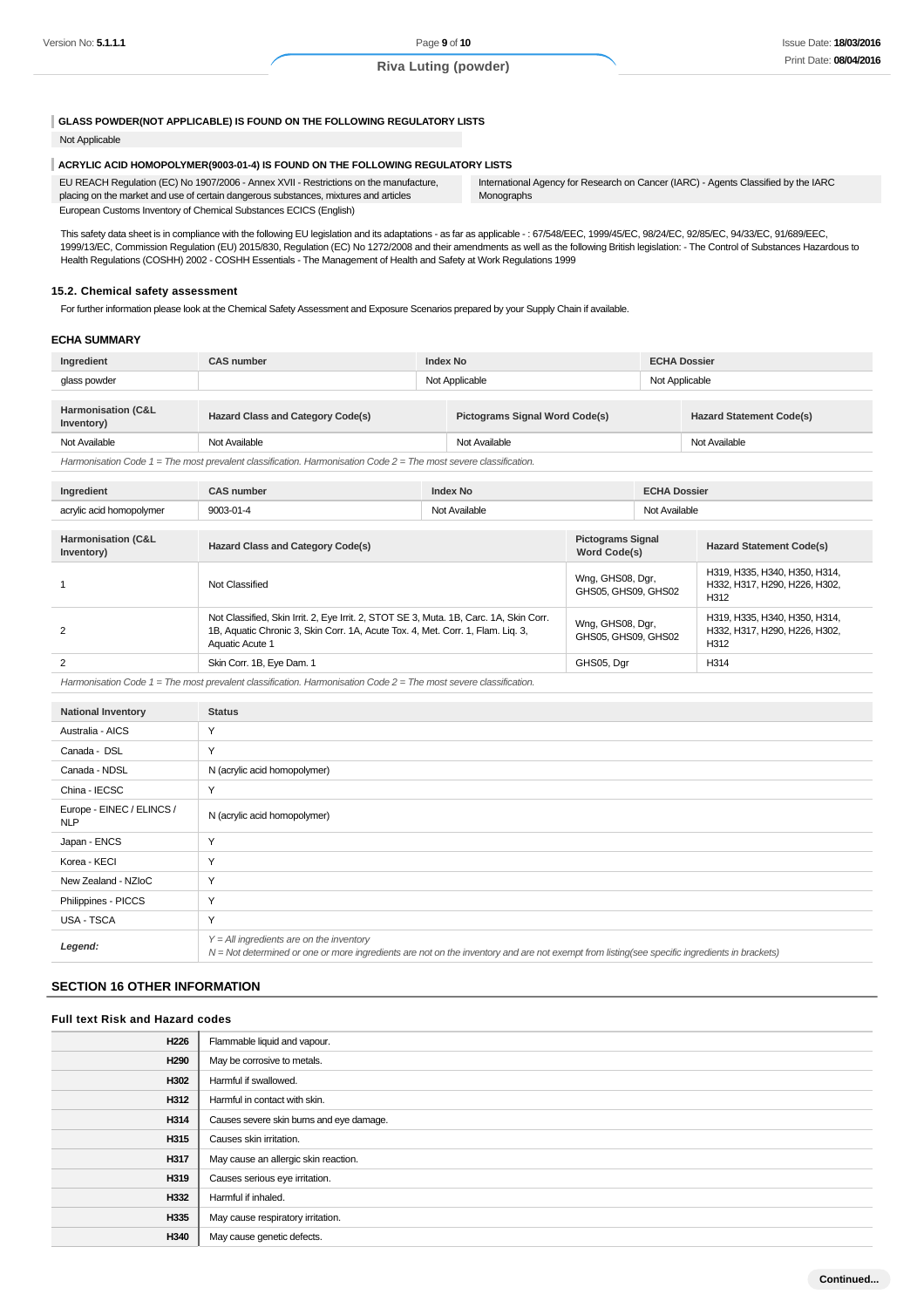#### **GLASS POWDER(NOT APPLICABLE) IS FOUND ON THE FOLLOWING REGULATORY LISTS**

#### Not Applicable

#### **ACRYLIC ACID HOMOPOLYMER(9003-01-4) IS FOUND ON THE FOLLOWING REGULATORY LISTS**

| EU REACH Requiation (EC) No 1907/2006 - Annex XVII - Restrictions on the manufacture, | International Agency for Research on Cancer (IARC) - Agents Classified by the IARC |
|---------------------------------------------------------------------------------------|------------------------------------------------------------------------------------|
| placing on the market and use of certain dangerous substances, mixtures and articles  | Monographs                                                                         |
| European Customs Inventory of Chemical Substances ECICS (English)                     |                                                                                    |

This safety data sheet is in compliance with the following EU legislation and its adaptations - as far as applicable -: 67/548/EEC, 1999/45/EC, 98/24/EC, 92/85/EC, 94/33/EC, 91/689/EEC, 1999/13/EC, Commission Regulation (EU) 2015/830, Regulation (EC) No 1272/2008 and their amendments as well as the following British legislation: - The Control of Substances Hazardous to Health Regulations (COSHH) 2002 - COSHH Essentials - The Management of Health and Safety at Work Regulations 1999

#### **15.2. Chemical safety assessment**

For further information please look at the Chemical Safety Assessment and Exposure Scenarios prepared by your Supply Chain if available.

#### **ECHA SUMMARY**

| Ingredient                                                                                                           | <b>CAS number</b>                        | <b>Index No</b> |                                       |                                          | <b>ECHA Dossier</b> |                                 |  |
|----------------------------------------------------------------------------------------------------------------------|------------------------------------------|-----------------|---------------------------------------|------------------------------------------|---------------------|---------------------------------|--|
| glass powder                                                                                                         |                                          | Not Applicable  |                                       |                                          | Not Applicable      |                                 |  |
|                                                                                                                      |                                          |                 |                                       |                                          |                     |                                 |  |
| <b>Harmonisation (C&amp;L</b><br>Inventory)                                                                          | <b>Hazard Class and Category Code(s)</b> |                 | <b>Pictograms Signal Word Code(s)</b> |                                          |                     | <b>Hazard Statement Code(s)</b> |  |
| Not Available                                                                                                        | Not Available                            | Not Available   |                                       |                                          | Not Available       |                                 |  |
| Harmonisation Code $1 =$ The most prevalent classification. Harmonisation Code $2 =$ The most severe classification. |                                          |                 |                                       |                                          |                     |                                 |  |
|                                                                                                                      |                                          |                 |                                       |                                          |                     |                                 |  |
| Ingredient                                                                                                           | <b>CAS number</b>                        | <b>Index No</b> |                                       | <b>ECHA Dossier</b>                      |                     |                                 |  |
| acrylic acid homopolymer                                                                                             | 9003-01-4                                |                 | Not Available                         |                                          | Not Available       |                                 |  |
|                                                                                                                      |                                          |                 |                                       |                                          |                     |                                 |  |
| <b>Harmonisation (C&amp;L</b><br>Inventory)                                                                          | <b>Hazard Class and Category Code(s)</b> |                 |                                       | <b>Pictograms Signal</b><br>Word Code(s) |                     | <b>Hazard Statement Code(s)</b> |  |
|                                                                                                                      |                                          |                 |                                       |                                          |                     | H319, H335, H340, H350, H314,   |  |

| Not Classified                                                                                                                                                                               | Wng, GHS08, Dgr,<br>GHS05, GHS09, GHS02 | H319, H335, H340, H350, H314,<br>H332, H317, H290, H226, H302,<br>H <sub>312</sub> |
|----------------------------------------------------------------------------------------------------------------------------------------------------------------------------------------------|-----------------------------------------|------------------------------------------------------------------------------------|
| Not Classified, Skin Irrit. 2, Eye Irrit. 2, STOT SE 3, Muta. 1B, Carc. 1A, Skin Corr.<br>1B, Aquatic Chronic 3, Skin Corr. 1A, Acute Tox. 4, Met. Corr. 1, Flam. Lig. 3,<br>Aquatic Acute 1 | Wng, GHS08, Dgr,<br>GHS05, GHS09, GHS02 | H319, H335, H340, H350, H314,<br>H332, H317, H290, H226, H302,<br>H312             |
| Skin Corr. 1B, Eye Dam. 1                                                                                                                                                                    | GHS05, Dar                              | H <sub>314</sub>                                                                   |

Harmonisation Code 1 = The most prevalent classification. Harmonisation Code 2 = The most severe classification.

| <b>National Inventory</b>               | <b>Status</b>                                                                                                                                                                              |
|-----------------------------------------|--------------------------------------------------------------------------------------------------------------------------------------------------------------------------------------------|
| Australia - AICS                        | Y                                                                                                                                                                                          |
| Canada - DSL                            | Y                                                                                                                                                                                          |
| Canada - NDSL                           | N (acrylic acid homopolymer)                                                                                                                                                               |
| China - IECSC                           | Y                                                                                                                                                                                          |
| Europe - EINEC / ELINCS /<br><b>NLP</b> | N (acrylic acid homopolymer)                                                                                                                                                               |
| Japan - ENCS                            | Y                                                                                                                                                                                          |
| Korea - KECI                            | Y                                                                                                                                                                                          |
| New Zealand - NZIoC                     | Y                                                                                                                                                                                          |
| Philippines - PICCS                     | Y                                                                                                                                                                                          |
| USA - TSCA                              | Y                                                                                                                                                                                          |
| Legend:                                 | $Y = All$ ingredients are on the inventory<br>N = Not determined or one or more ingredients are not on the inventory and are not exempt from listing(see specific ingredients in brackets) |

### **SECTION 16 OTHER INFORMATION**

# **Full text Risk and Hazard codes H226** Flammable liquid and vapour. **H290** May be corrosive to metals. **H302** Harmful if swallowed. **H312** Harmful in contact with skin. **H314** Causes severe skin burns and eye damage. **H315** Causes skin irritation. H317 | May cause an allergic skin reaction. **H319** Causes serious eye irritation. **H332** Harmful if inhaled. **H335** May cause respiratory irritation. **H340** May cause genetic defects.